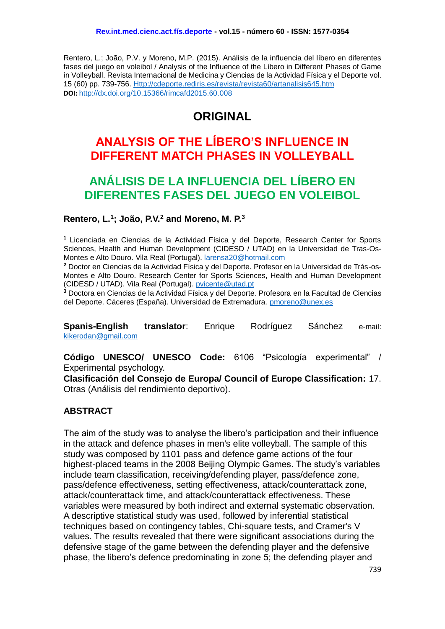Rentero, L.; João, P.V. y Moreno, M.P. (2015). Análisis de la influencia del líbero en diferentes fases del juego en voleibol / Analysis of the Influence of the Líbero in Different Phases of Game in Volleyball. Revista Internacional de Medicina y Ciencias de la Actividad Física y el Deporte vol. 15 (60) pp. 739-756. [Http://cdeporte.rediris.es/revista/revista60/artanalisis645.htm](http://cdeporte.rediris.es/revista/revista60/artanalisis645.htm) **DOI:** <http://dx.doi.org/10.15366/rimcafd2015.60.008>

# **ORIGINAL**

# **ANALYSIS OF THE LÍBERO'S INFLUENCE IN DIFFERENT MATCH PHASES IN VOLLEYBALL**

# **ANÁLISIS DE LA INFLUENCIA DEL LÍBERO EN DIFERENTES FASES DEL JUEGO EN VOLEIBOL**

# **Rentero, L.<sup>1</sup> ; João, P.V.<sup>2</sup> and Moreno, M. P.<sup>3</sup>**

**<sup>1</sup>** Licenciada en Ciencias de la Actividad Física y del Deporte, Research Center for Sports Sciences, Health and Human Development (CIDESD / UTAD) en la Universidad de Tras-Os-Montes e Alto Douro. Vila Real (Portugal). [larensa20@hotmail.com](mailto:larensa20@hotmail.com)

**<sup>2</sup>** Doctor en Ciencias de la Actividad Física y del Deporte. Profesor en la Universidad de Trás-os-Montes e Alto Douro. Research Center for Sports Sciences, Health and Human Development (CIDESD / UTAD). Vila Real (Portugal). [pvicente@utad.pt](mailto:pvicente@utad.pt)

**<sup>3</sup>** Doctora en Ciencias de la Actividad Física y del Deporte. Profesora en la Facultad de Ciencias del Deporte. Cáceres (España). Universidad de Extremadura. [pmoreno@unex.es](mailto:pmoreno@unex.es)

**Spanis-English translator**: Enrique Rodríguez Sánchez e-mail: [kikerodan@gmail.com](mailto:kikerodan@gmail.com)

**Código UNESCO/ UNESCO Code:** 6106 "Psicología experimental" / Experimental psychology.

**Clasificación del Consejo de Europa/ Council of Europe Classification:** 17. Otras (Análisis del rendimiento deportivo).

# **ABSTRACT**

The aim of the study was to analyse the libero's participation and their influence in the attack and defence phases in men's elite volleyball. The sample of this study was composed by 1101 pass and defence game actions of the four highest-placed teams in the 2008 Beijing Olympic Games. The study's variables include team classification, receiving/defending player, pass/defence zone, pass/defence effectiveness, setting effectiveness, attack/counterattack zone, attack/counterattack time, and attack/counterattack effectiveness. These variables were measured by both indirect and external systematic observation. A descriptive statistical study was used, followed by inferential statistical techniques based on contingency tables, Chi-square tests, and Cramer's V values. The results revealed that there were significant associations during the defensive stage of the game between the defending player and the defensive phase, the libero's defence predominating in zone 5; the defending player and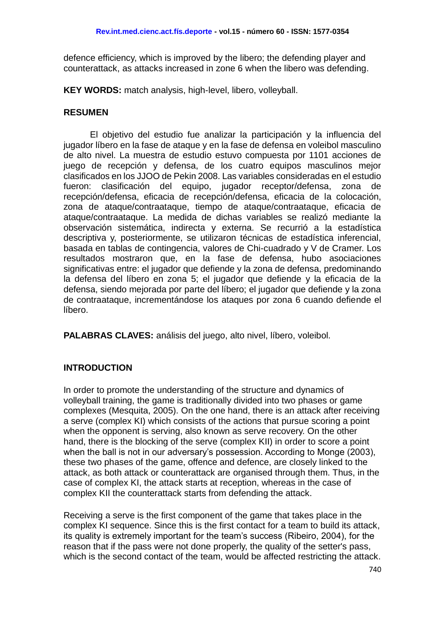defence efficiency, which is improved by the libero; the defending player and counterattack, as attacks increased in zone 6 when the libero was defending.

**KEY WORDS:** match analysis, high-level, libero, volleyball.

# **RESUMEN**

El objetivo del estudio fue analizar la participación y la influencia del jugador líbero en la fase de ataque y en la fase de defensa en voleibol masculino de alto nivel. La muestra de estudio estuvo compuesta por 1101 acciones de juego de recepción y defensa, de los cuatro equipos masculinos mejor clasificados en los JJOO de Pekin 2008. Las variables consideradas en el estudio fueron: clasificación del equipo, jugador receptor/defensa, zona de recepción/defensa, eficacia de recepción/defensa, eficacia de la colocación, zona de ataque/contraataque, tiempo de ataque/contraataque, eficacia de ataque/contraataque. La medida de dichas variables se realizó mediante la observación sistemática, indirecta y externa. Se recurrió a la estadística descriptiva y, posteriormente, se utilizaron técnicas de estadística inferencial, basada en tablas de contingencia, valores de Chi-cuadrado y V de Cramer. Los resultados mostraron que, en la fase de defensa, hubo asociaciones significativas entre: el jugador que defiende y la zona de defensa, predominando la defensa del líbero en zona 5; el jugador que defiende y la eficacia de la defensa, siendo mejorada por parte del líbero; el jugador que defiende y la zona de contraataque, incrementándose los ataques por zona 6 cuando defiende el líbero.

**PALABRAS CLAVES:** análisis del juego, alto nivel, líbero, voleibol.

# **INTRODUCTION**

In order to promote the understanding of the structure and dynamics of volleyball training, the game is traditionally divided into two phases or game complexes (Mesquita, 2005). On the one hand, there is an attack after receiving a serve (complex KI) which consists of the actions that pursue scoring a point when the opponent is serving, also known as serve recovery. On the other hand, there is the blocking of the serve (complex KII) in order to score a point when the ball is not in our adversary's possession. According to Monge (2003), these two phases of the game, offence and defence, are closely linked to the attack, as both attack or counterattack are organised through them. Thus, in the case of complex KI, the attack starts at reception, whereas in the case of complex KII the counterattack starts from defending the attack.

Receiving a serve is the first component of the game that takes place in the complex KI sequence. Since this is the first contact for a team to build its attack, its quality is extremely important for the team's success (Ribeiro, 2004), for the reason that if the pass were not done properly, the quality of the setter's pass, which is the second contact of the team, would be affected restricting the attack.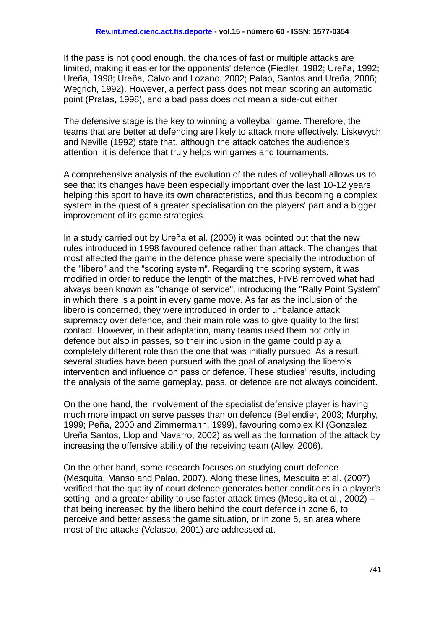If the pass is not good enough, the chances of fast or multiple attacks are limited, making it easier for the opponents' defence (Fiedler, 1982; Ureña, 1992; Ureña, 1998; Ureña, Calvo and Lozano, 2002; Palao, Santos and Ureña, 2006; Wegrich, 1992). However, a perfect pass does not mean scoring an automatic point (Pratas, 1998), and a bad pass does not mean a side-out either.

The defensive stage is the key to winning a volleyball game. Therefore, the teams that are better at defending are likely to attack more effectively. Liskevych and Neville (1992) state that, although the attack catches the audience's attention, it is defence that truly helps win games and tournaments.

A comprehensive analysis of the evolution of the rules of volleyball allows us to see that its changes have been especially important over the last 10-12 years, helping this sport to have its own characteristics, and thus becoming a complex system in the quest of a greater specialisation on the players' part and a bigger improvement of its game strategies.

In a study carried out by Ureña et al. (2000) it was pointed out that the new rules introduced in 1998 favoured defence rather than attack. The changes that most affected the game in the defence phase were specially the introduction of the "libero" and the "scoring system". Regarding the scoring system, it was modified in order to reduce the length of the matches, FIVB removed what had always been known as "change of service", introducing the "Rally Point System" in which there is a point in every game move. As far as the inclusion of the libero is concerned, they were introduced in order to unbalance attack supremacy over defence, and their main role was to give quality to the first contact. However, in their adaptation, many teams used them not only in defence but also in passes, so their inclusion in the game could play a completely different role than the one that was initially pursued. As a result, several studies have been pursued with the goal of analysing the libero's intervention and influence on pass or defence. These studies' results, including the analysis of the same gameplay, pass, or defence are not always coincident.

On the one hand, the involvement of the specialist defensive player is having much more impact on serve passes than on defence (Bellendier, 2003; Murphy, 1999; Peña, 2000 and Zimmermann, 1999), favouring complex KI (Gonzalez Ureña Santos, Llop and Navarro, 2002) as well as the formation of the attack by increasing the offensive ability of the receiving team (Alley, 2006).

On the other hand, some research focuses on studying court defence (Mesquita, Manso and Palao, 2007). Along these lines, Mesquita et al. (2007) verified that the quality of court defence generates better conditions in a player's setting, and a greater ability to use faster attack times (Mesquita et al., 2002) – that being increased by the libero behind the court defence in zone 6, to perceive and better assess the game situation, or in zone 5, an area where most of the attacks (Velasco, 2001) are addressed at.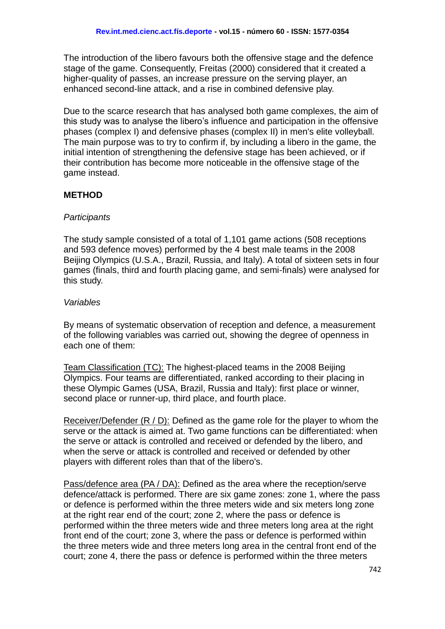The introduction of the libero favours both the offensive stage and the defence stage of the game. Consequently, Freitas (2000) considered that it created a higher-quality of passes, an increase pressure on the serving player, an enhanced second-line attack, and a rise in combined defensive play.

Due to the scarce research that has analysed both game complexes, the aim of this study was to analyse the libero's influence and participation in the offensive phases (complex I) and defensive phases (complex II) in men's elite volleyball. The main purpose was to try to confirm if, by including a libero in the game, the initial intention of strengthening the defensive stage has been achieved, or if their contribution has become more noticeable in the offensive stage of the game instead.

## **METHOD**

#### *Participants*

The study sample consisted of a total of 1,101 game actions (508 receptions and 593 defence moves) performed by the 4 best male teams in the 2008 Beijing Olympics (U.S.A., Brazil, Russia, and Italy). A total of sixteen sets in four games (finals, third and fourth placing game, and semi-finals) were analysed for this study.

#### *Variables*

By means of systematic observation of reception and defence, a measurement of the following variables was carried out, showing the degree of openness in each one of them:

Team Classification (TC): The highest-placed teams in the 2008 Beijing Olympics. Four teams are differentiated, ranked according to their placing in these Olympic Games (USA, Brazil, Russia and Italy): first place or winner, second place or runner-up, third place, and fourth place.

Receiver/Defender (R / D): Defined as the game role for the player to whom the serve or the attack is aimed at. Two game functions can be differentiated: when the serve or attack is controlled and received or defended by the libero, and when the serve or attack is controlled and received or defended by other players with different roles than that of the libero's.

Pass/defence area (PA / DA): Defined as the area where the reception/serve defence/attack is performed. There are six game zones: zone 1, where the pass or defence is performed within the three meters wide and six meters long zone at the right rear end of the court; zone 2, where the pass or defence is performed within the three meters wide and three meters long area at the right front end of the court; zone 3, where the pass or defence is performed within the three meters wide and three meters long area in the central front end of the court; zone 4, there the pass or defence is performed within the three meters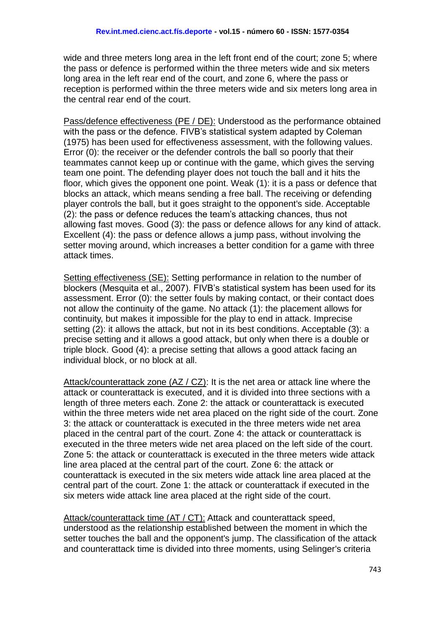wide and three meters long area in the left front end of the court; zone 5; where the pass or defence is performed within the three meters wide and six meters long area in the left rear end of the court, and zone 6, where the pass or reception is performed within the three meters wide and six meters long area in the central rear end of the court.

Pass/defence effectiveness (PE / DE): Understood as the performance obtained with the pass or the defence. FIVB's statistical system adapted by Coleman (1975) has been used for effectiveness assessment, with the following values. Error (0): the receiver or the defender controls the ball so poorly that their teammates cannot keep up or continue with the game, which gives the serving team one point. The defending player does not touch the ball and it hits the floor, which gives the opponent one point. Weak (1): it is a pass or defence that blocks an attack, which means sending a free ball. The receiving or defending player controls the ball, but it goes straight to the opponent's side. Acceptable (2): the pass or defence reduces the team's attacking chances, thus not allowing fast moves. Good (3): the pass or defence allows for any kind of attack. Excellent (4): the pass or defence allows a jump pass, without involving the setter moving around, which increases a better condition for a game with three attack times.

Setting effectiveness (SE): Setting performance in relation to the number of blockers (Mesquita et al., 2007). FIVB's statistical system has been used for its assessment. Error (0): the setter fouls by making contact, or their contact does not allow the continuity of the game. No attack (1): the placement allows for continuity, but makes it impossible for the play to end in attack. Imprecise setting (2): it allows the attack, but not in its best conditions. Acceptable (3): a precise setting and it allows a good attack, but only when there is a double or triple block. Good (4): a precise setting that allows a good attack facing an individual block, or no block at all.

Attack/counterattack zone (AZ / CZ): It is the net area or attack line where the attack or counterattack is executed, and it is divided into three sections with a length of three meters each. Zone 2: the attack or counterattack is executed within the three meters wide net area placed on the right side of the court. Zone 3: the attack or counterattack is executed in the three meters wide net area placed in the central part of the court. Zone 4: the attack or counterattack is executed in the three meters wide net area placed on the left side of the court. Zone 5: the attack or counterattack is executed in the three meters wide attack line area placed at the central part of the court. Zone 6: the attack or counterattack is executed in the six meters wide attack line area placed at the central part of the court. Zone 1: the attack or counterattack if executed in the six meters wide attack line area placed at the right side of the court.

Attack/counterattack time (AT / CT): Attack and counterattack speed, understood as the relationship established between the moment in which the setter touches the ball and the opponent's jump. The classification of the attack and counterattack time is divided into three moments, using Selinger's criteria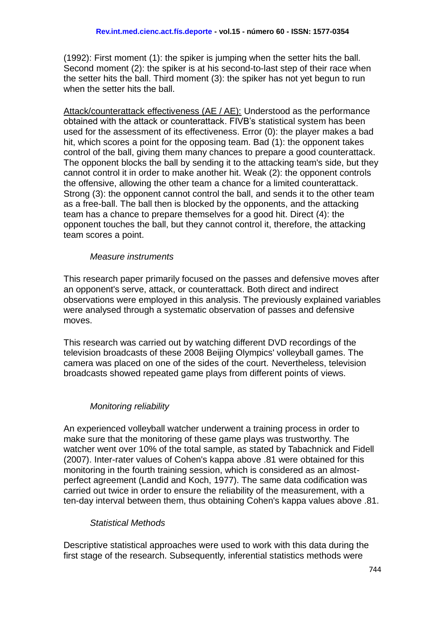(1992): First moment (1): the spiker is jumping when the setter hits the ball. Second moment (2): the spiker is at his second-to-last step of their race when the setter hits the ball. Third moment (3): the spiker has not yet begun to run when the setter hits the ball.

Attack/counterattack effectiveness (AE / AE): Understood as the performance obtained with the attack or counterattack. FIVB's statistical system has been used for the assessment of its effectiveness. Error (0): the player makes a bad hit, which scores a point for the opposing team. Bad (1): the opponent takes control of the ball, giving them many chances to prepare a good counterattack. The opponent blocks the ball by sending it to the attacking team's side, but they cannot control it in order to make another hit. Weak (2): the opponent controls the offensive, allowing the other team a chance for a limited counterattack. Strong (3): the opponent cannot control the ball, and sends it to the other team as a free-ball. The ball then is blocked by the opponents, and the attacking team has a chance to prepare themselves for a good hit. Direct (4): the opponent touches the ball, but they cannot control it, therefore, the attacking team scores a point.

## *Measure instruments*

This research paper primarily focused on the passes and defensive moves after an opponent's serve, attack, or counterattack. Both direct and indirect observations were employed in this analysis. The previously explained variables were analysed through a systematic observation of passes and defensive moves.

This research was carried out by watching different DVD recordings of the television broadcasts of these 2008 Beijing Olympics' volleyball games. The camera was placed on one of the sides of the court. Nevertheless, television broadcasts showed repeated game plays from different points of views.

## *Monitoring reliability*

An experienced volleyball watcher underwent a training process in order to make sure that the monitoring of these game plays was trustworthy. The watcher went over 10% of the total sample, as stated by Tabachnick and Fidell (2007). Inter-rater values of Cohen's kappa above .81 were obtained for this monitoring in the fourth training session, which is considered as an almostperfect agreement (Landid and Koch, 1977). The same data codification was carried out twice in order to ensure the reliability of the measurement, with a ten-day interval between them, thus obtaining Cohen's kappa values above .81.

## *Statistical Methods*

Descriptive statistical approaches were used to work with this data during the first stage of the research. Subsequently, inferential statistics methods were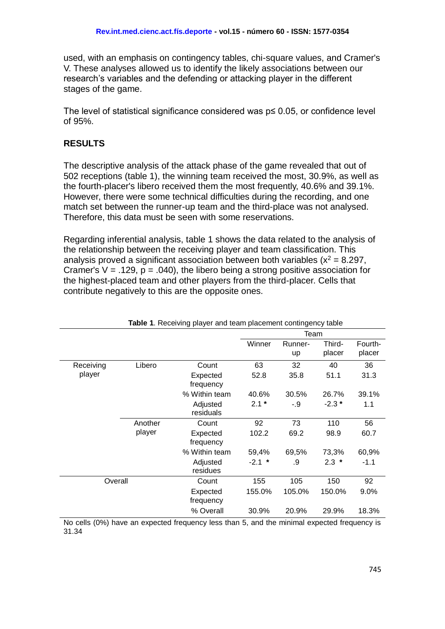used, with an emphasis on contingency tables, chi-square values, and Cramer's V. These analyses allowed us to identify the likely associations between our research's variables and the defending or attacking player in the different stages of the game.

The level of statistical significance considered was p≤ 0.05, or confidence level of 95%.

# **RESULTS**

The descriptive analysis of the attack phase of the game revealed that out of 502 receptions (table 1), the winning team received the most, 30.9%, as well as the fourth-placer's libero received them the most frequently, 40.6% and 39.1%. However, there were some technical difficulties during the recording, and one match set between the runner-up team and the third-place was not analysed. Therefore, this data must be seen with some reservations.

Regarding inferential analysis, table 1 shows the data related to the analysis of the relationship between the receiving player and team classification. This analysis proved a significant association between both variables ( $x^2 = 8.297$ , Cramer's  $V = .129$ ,  $p = .040$ ), the libero being a strong positive association for the highest-placed team and other players from the third-placer. Cells that contribute negatively to this are the opposite ones.

|           |         |                       |          | Team          |                  |                   |
|-----------|---------|-----------------------|----------|---------------|------------------|-------------------|
|           |         |                       | Winner   | Runner-<br>up | Third-<br>placer | Fourth-<br>placer |
| Receiving | Libero  | Count                 | 63       | 32            | 40               | 36                |
| player    |         | Expected<br>frequency | 52.8     | 35.8          | 51.1             | 31.3              |
|           |         | % Within team         | 40.6%    | 30.5%         | 26.7%            | 39.1%             |
|           |         | Adjusted<br>residuals | $2.1*$   | -.9           | $-2.3*$          | 1.1               |
|           | Another | Count                 | 92       | 73            | 110              | 56                |
|           | player  | Expected<br>frequency | 102.2    | 69.2          | 98.9             | 60.7              |
|           |         | % Within team         | 59,4%    | 69,5%         | 73,3%            | 60,9%             |
|           |         | Adjusted<br>residues  | $-2.1$ * | .9            | $2.3*$           | $-1.1$            |
| Overall   |         | Count                 | 155      | 105           | 150              | 92                |
|           |         | Expected<br>frequency | 155.0%   | 105.0%        | 150.0%           | 9.0%              |
|           |         | % Overall             | 30.9%    | 20.9%         | 29.9%            | 18.3%             |

**Table 1**. Receiving player and team placement contingency table

No cells (0%) have an expected frequency less than 5, and the minimal expected frequency is 31.34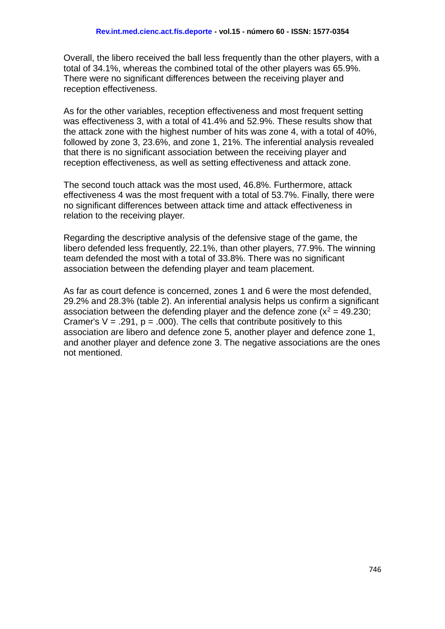Overall, the libero received the ball less frequently than the other players, with a total of 34.1%, whereas the combined total of the other players was 65.9%. There were no significant differences between the receiving player and reception effectiveness.

As for the other variables, reception effectiveness and most frequent setting was effectiveness 3, with a total of 41.4% and 52.9%. These results show that the attack zone with the highest number of hits was zone 4, with a total of 40%, followed by zone 3, 23.6%, and zone 1, 21%. The inferential analysis revealed that there is no significant association between the receiving player and reception effectiveness, as well as setting effectiveness and attack zone.

The second touch attack was the most used, 46.8%. Furthermore, attack effectiveness 4 was the most frequent with a total of 53.7%. Finally, there were no significant differences between attack time and attack effectiveness in relation to the receiving player.

Regarding the descriptive analysis of the defensive stage of the game, the libero defended less frequently, 22.1%, than other players, 77.9%. The winning team defended the most with a total of 33.8%. There was no significant association between the defending player and team placement.

As far as court defence is concerned, zones 1 and 6 were the most defended, 29.2% and 28.3% (table 2). An inferential analysis helps us confirm a significant association between the defending player and the defence zone ( $x^2 = 49.230$ ; Cramer's  $V = .291$ ,  $p = .000$ ). The cells that contribute positively to this association are libero and defence zone 5, another player and defence zone 1, and another player and defence zone 3. The negative associations are the ones not mentioned.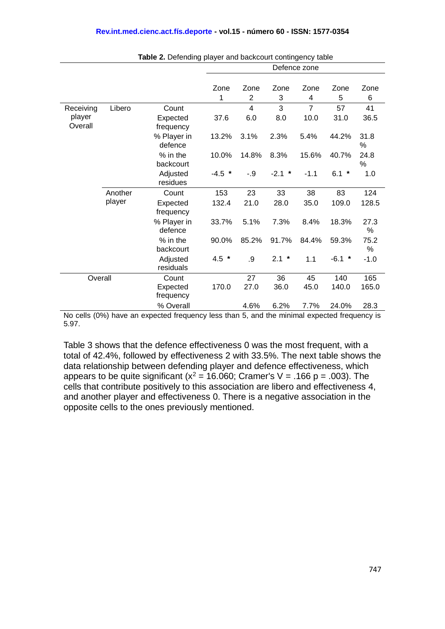|                   |         |                        | Defence zone |                |          |                |          |           |
|-------------------|---------|------------------------|--------------|----------------|----------|----------------|----------|-----------|
|                   |         |                        |              |                |          |                |          |           |
|                   |         |                        | Zone         | Zone           | Zone     | Zone           | Zone     | Zone      |
|                   |         |                        | 1            | $\overline{2}$ | 3        | 4              | 5        | 6         |
| Receiving         | Libero  | Count                  |              | $\overline{4}$ | 3        | $\overline{7}$ | 57       | 41        |
| player<br>Overall |         | Expected<br>frequency  | 37.6         | 6.0            | 8.0      | 10.0           | 31.0     | 36.5      |
|                   |         | % Player in<br>defence | 13.2%        | 3.1%           | 2.3%     | 5.4%           | 44.2%    | 31.8<br>℅ |
|                   |         | % in the<br>backcourt  | 10.0%        | 14.8%          | 8.3%     | 15.6%          | 40.7%    | 24.8<br>℅ |
|                   |         | Adjusted<br>residues   | $-4.5$ *     | $-0.9$         | $-2.1$ * | $-1.1$         | $6.1 *$  | 1.0       |
|                   | Another | Count                  | 153          | 23             | 33       | 38             | 83       | 124       |
|                   | player  | Expected<br>frequency  | 132.4        | 21.0           | 28.0     | 35.0           | 109.0    | 128.5     |
|                   |         | % Player in<br>defence | 33.7%        | 5.1%           | 7.3%     | 8.4%           | 18.3%    | 27.3<br>% |
|                   |         | % in the<br>backcourt  | 90.0%        | 85.2%          | 91.7%    | 84.4%          | 59.3%    | 75.2<br>% |
|                   |         | Adjusted<br>residuals  | $4.5 *$      | .9             | $2.1 *$  | 1.1            | $-6.1$ * | $-1.0$    |
| Overall           |         | Count                  |              | 27             | 36       | 45             | 140      | 165       |
|                   |         | Expected<br>frequency  | 170.0        | 27.0           | 36.0     | 45.0           | 140.0    | 165.0     |
|                   |         | % Overall              |              | 4.6%           | 6.2%     | 7.7%           | 24.0%    | 28.3      |

**Table 2.** Defending player and backcourt contingency table

No cells (0%) have an expected frequency less than 5, and the minimal expected frequency is 5.97.

Table 3 shows that the defence effectiveness 0 was the most frequent, with a total of 42.4%, followed by effectiveness 2 with 33.5%. The next table shows the data relationship between defending player and defence effectiveness, which appears to be quite significant ( $x^2$  = 16.060; Cramer's V = .166 p = .003). The cells that contribute positively to this association are libero and effectiveness 4, and another player and effectiveness 0. There is a negative association in the opposite cells to the ones previously mentioned.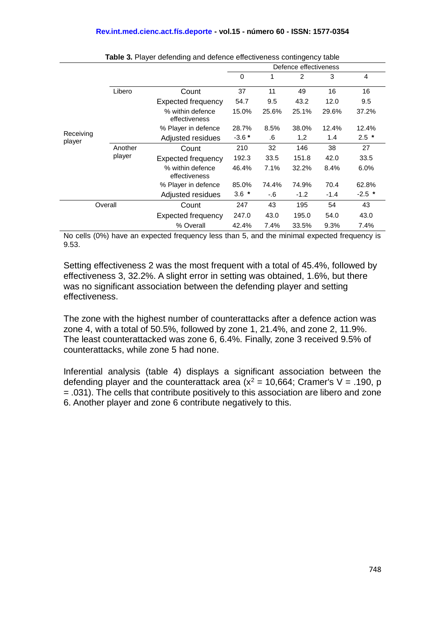|                     |                   |                                   | Defence effectiveness |       |                |        |          |  |
|---------------------|-------------------|-----------------------------------|-----------------------|-------|----------------|--------|----------|--|
|                     |                   |                                   | $\Omega$              | 1     | $\overline{2}$ | 3      | 4        |  |
|                     | Libero            | Count                             | 37                    | 11    | 49             | 16     | 16       |  |
| Receiving<br>player |                   | <b>Expected frequency</b>         | 54.7                  | 9.5   | 43.2           | 12.0   | 9.5      |  |
|                     |                   | % within defence<br>effectiveness | 15.0%                 | 25.6% | 25.1%          | 29.6%  | 37.2%    |  |
|                     |                   | % Player in defence               | 28.7%                 | 8.5%  | 38.0%          | 12.4%  | 12.4%    |  |
|                     |                   | Adjusted residues                 | $-3.6*$               | .6    | 1,2            | 1.4    | $2.5$ *  |  |
|                     | Another<br>player | Count                             | 210                   | 32    | 146            | 38     | 27       |  |
|                     |                   | <b>Expected frequency</b>         | 192.3                 | 33.5  | 151.8          | 42.0   | 33.5     |  |
|                     |                   | % within defence<br>effectiveness | 46.4%                 | 7.1%  | 32.2%          | 8.4%   | 6.0%     |  |
|                     |                   | % Player in defence               | 85.0%                 | 74.4% | 74.9%          | 70.4   | 62.8%    |  |
|                     |                   | Adjusted residues                 | $3.6*$                | -.6   | $-1.2$         | $-1.4$ | $-2.5$ * |  |
| Overall             |                   | Count                             | 247                   | 43    | 195            | 54     | 43       |  |
|                     |                   | <b>Expected frequency</b>         | 247.0                 | 43.0  | 195.0          | 54.0   | 43.0     |  |
|                     |                   | % Overall                         | 42.4%                 | 7.4%  | 33.5%          | 9.3%   | 7.4%     |  |

**Table 3.** Player defending and defence effectiveness contingency table

No cells (0%) have an expected frequency less than 5, and the minimal expected frequency is 9.53.

Setting effectiveness 2 was the most frequent with a total of 45.4%, followed by effectiveness 3, 32.2%. A slight error in setting was obtained, 1.6%, but there was no significant association between the defending player and setting effectiveness.

The zone with the highest number of counterattacks after a defence action was zone 4, with a total of 50.5%, followed by zone 1, 21.4%, and zone 2, 11.9%. The least counterattacked was zone 6, 6.4%. Finally, zone 3 received 9.5% of counterattacks, while zone 5 had none.

Inferential analysis (table 4) displays a significant association between the defending player and the counterattack area ( $x^2$  = 10,664; Cramer's V = .190, p = .031). The cells that contribute positively to this association are libero and zone 6. Another player and zone 6 contribute negatively to this.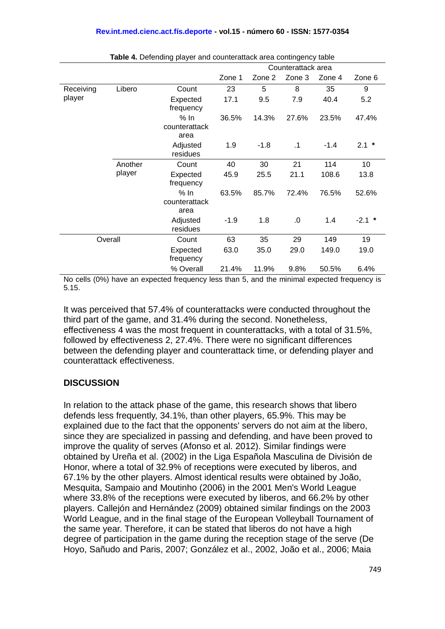|           |                   |                               | Counterattack area |        |        |        |          |  |
|-----------|-------------------|-------------------------------|--------------------|--------|--------|--------|----------|--|
|           |                   |                               | Zone 1             | Zone 2 | Zone 3 | Zone 4 | Zone 6   |  |
| Receiving | Libero            | Count                         | 23                 | 5      | 8      | 35     | 9        |  |
| player    |                   | Expected<br>frequency         | 17.1               | 9.5    | 7.9    | 40.4   | 5.2      |  |
|           |                   | % In<br>counterattack<br>area | 36.5%              | 14.3%  | 27.6%  | 23.5%  | 47.4%    |  |
|           |                   | Adjusted<br>residues          | 1.9                | $-1.8$ | .1     | $-1.4$ | $2.1 *$  |  |
|           | Another<br>player | Count                         | 40                 | 30     | 21     | 114    | 10       |  |
|           |                   | Expected<br>frequency         | 45.9               | 25.5   | 21.1   | 108.6  | 13.8     |  |
|           |                   | % In<br>counterattack<br>area | 63.5%              | 85.7%  | 72.4%  | 76.5%  | 52.6%    |  |
|           |                   | Adjusted<br>residues          | $-1.9$             | 1.8    | .0     | 1.4    | $-2.1$ * |  |
| Overall   |                   | Count                         | 63                 | 35     | 29     | 149    | 19       |  |
|           |                   | Expected<br>frequency         | 63.0               | 35.0   | 29.0   | 149.0  | 19.0     |  |
|           |                   | % Overall                     | 21.4%              | 11.9%  | 9.8%   | 50.5%  | 6.4%     |  |

**Table 4.** Defending player and counterattack area contingency table

No cells (0%) have an expected frequency less than 5, and the minimal expected frequency is 5.15.

It was perceived that 57.4% of counterattacks were conducted throughout the third part of the game, and 31.4% during the second. Nonetheless, effectiveness 4 was the most frequent in counterattacks, with a total of 31.5%, followed by effectiveness 2, 27.4%. There were no significant differences between the defending player and counterattack time, or defending player and counterattack effectiveness.

## **DISCUSSION**

In relation to the attack phase of the game, this research shows that libero defends less frequently, 34.1%, than other players, 65.9%. This may be explained due to the fact that the opponents' servers do not aim at the libero, since they are specialized in passing and defending, and have been proved to improve the quality of serves (Afonso et al. 2012). Similar findings were obtained by Ureña et al. (2002) in the Liga Española Masculina de División de Honor, where a total of 32.9% of receptions were executed by liberos, and 67.1% by the other players. Almost identical results were obtained by João, Mesquita, Sampaio and Moutinho (2006) in the 2001 Men's World League where 33.8% of the receptions were executed by liberos, and 66.2% by other players. Callejón and Hernández (2009) obtained similar findings on the 2003 World League, and in the final stage of the European Volleyball Tournament of the same year. Therefore, it can be stated that liberos do not have a high degree of participation in the game during the reception stage of the serve (De Hoyo, Sañudo and Paris, 2007; González et al., 2002, João et al., 2006; Maia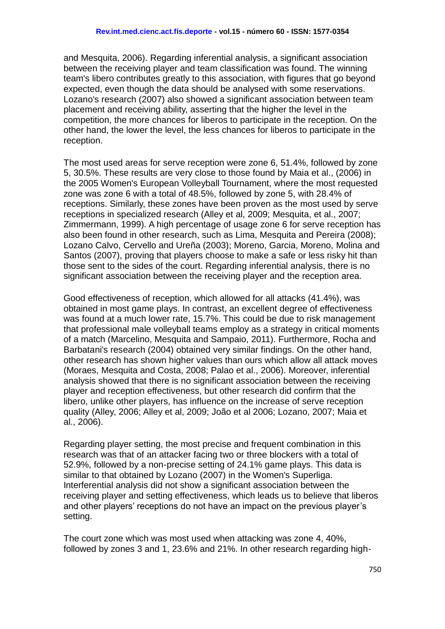and Mesquita, 2006). Regarding inferential analysis, a significant association between the receiving player and team classification was found. The winning team's libero contributes greatly to this association, with figures that go beyond expected, even though the data should be analysed with some reservations. Lozano's research (2007) also showed a significant association between team placement and receiving ability, asserting that the higher the level in the competition, the more chances for liberos to participate in the reception. On the other hand, the lower the level, the less chances for liberos to participate in the reception.

The most used areas for serve reception were zone 6, 51.4%, followed by zone 5, 30.5%. These results are very close to those found by Maia et al., (2006) in the 2005 Women's European Volleyball Tournament, where the most requested zone was zone 6 with a total of 48.5%, followed by zone 5, with 28.4% of receptions. Similarly, these zones have been proven as the most used by serve receptions in specialized research (Alley et al, 2009; Mesquita, et al., 2007; Zimmermann, 1999). A high percentage of usage zone 6 for serve reception has also been found in other research, such as Lima, Mesquita and Pereira (2008); Lozano Calvo, Cervello and Ureña (2003); Moreno, Garcia, Moreno, Molina and Santos (2007), proving that players choose to make a safe or less risky hit than those sent to the sides of the court. Regarding inferential analysis, there is no significant association between the receiving player and the reception area.

Good effectiveness of reception, which allowed for all attacks (41.4%), was obtained in most game plays. In contrast, an excellent degree of effectiveness was found at a much lower rate, 15.7%. This could be due to risk management that professional male volleyball teams employ as a strategy in critical moments of a match (Marcelino, Mesquita and Sampaio, 2011). Furthermore, Rocha and Barbatani's research (2004) obtained very similar findings. On the other hand, other research has shown higher values than ours which allow all attack moves (Moraes, Mesquita and Costa, 2008; Palao et al., 2006). Moreover, inferential analysis showed that there is no significant association between the receiving player and reception effectiveness, but other research did confirm that the libero, unlike other players, has influence on the increase of serve reception quality (Alley, 2006; Alley et al, 2009; João et al 2006; Lozano, 2007; Maia et al., 2006).

Regarding player setting, the most precise and frequent combination in this research was that of an attacker facing two or three blockers with a total of 52.9%, followed by a non-precise setting of 24.1% game plays. This data is similar to that obtained by Lozano (2007) in the Women's Superliga. Interferential analysis did not show a significant association between the receiving player and setting effectiveness, which leads us to believe that liberos and other players' receptions do not have an impact on the previous player's setting.

The court zone which was most used when attacking was zone 4, 40%, followed by zones 3 and 1, 23.6% and 21%. In other research regarding high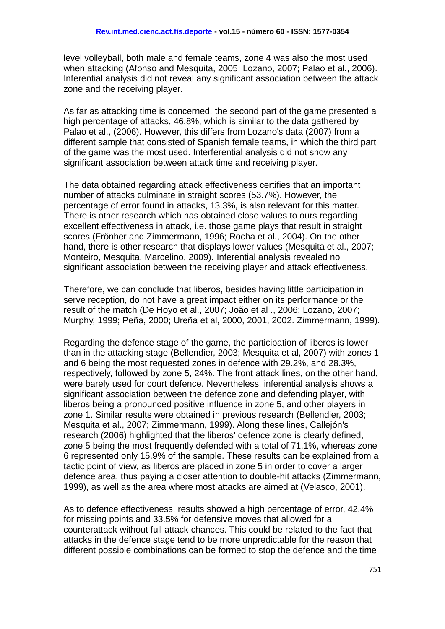level volleyball, both male and female teams, zone 4 was also the most used when attacking (Afonso and Mesquita, 2005; Lozano, 2007; Palao et al., 2006). Inferential analysis did not reveal any significant association between the attack zone and the receiving player.

As far as attacking time is concerned, the second part of the game presented a high percentage of attacks, 46.8%, which is similar to the data gathered by Palao et al., (2006). However, this differs from Lozano's data (2007) from a different sample that consisted of Spanish female teams, in which the third part of the game was the most used. Interferential analysis did not show any significant association between attack time and receiving player.

The data obtained regarding attack effectiveness certifies that an important number of attacks culminate in straight scores (53.7%). However, the percentage of error found in attacks, 13.3%, is also relevant for this matter. There is other research which has obtained close values to ours regarding excellent effectiveness in attack, i.e. those game plays that result in straight scores (Frönher and Zimmermann, 1996; Rocha et al., 2004). On the other hand, there is other research that displays lower values (Mesquita et al., 2007; Monteiro, Mesquita, Marcelino, 2009). Inferential analysis revealed no significant association between the receiving player and attack effectiveness.

Therefore, we can conclude that liberos, besides having little participation in serve reception, do not have a great impact either on its performance or the result of the match (De Hoyo et al., 2007; João et al ., 2006; Lozano, 2007; Murphy, 1999; Peña, 2000; Ureña et al, 2000, 2001, 2002. Zimmermann, 1999).

Regarding the defence stage of the game, the participation of liberos is lower than in the attacking stage (Bellendier, 2003; Mesquita et al, 2007) with zones 1 and 6 being the most requested zones in defence with 29.2%, and 28.3%, respectively, followed by zone 5, 24%. The front attack lines, on the other hand, were barely used for court defence. Nevertheless, inferential analysis shows a significant association between the defence zone and defending player, with liberos being a pronounced positive influence in zone 5, and other players in zone 1. Similar results were obtained in previous research (Bellendier, 2003; Mesquita et al., 2007; Zimmermann, 1999). Along these lines, Callejón's research (2006) highlighted that the liberos' defence zone is clearly defined, zone 5 being the most frequently defended with a total of 71.1%, whereas zone 6 represented only 15.9% of the sample. These results can be explained from a tactic point of view, as liberos are placed in zone 5 in order to cover a larger defence area, thus paying a closer attention to double-hit attacks (Zimmermann, 1999), as well as the area where most attacks are aimed at (Velasco, 2001).

As to defence effectiveness, results showed a high percentage of error, 42.4% for missing points and 33.5% for defensive moves that allowed for a counterattack without full attack chances. This could be related to the fact that attacks in the defence stage tend to be more unpredictable for the reason that different possible combinations can be formed to stop the defence and the time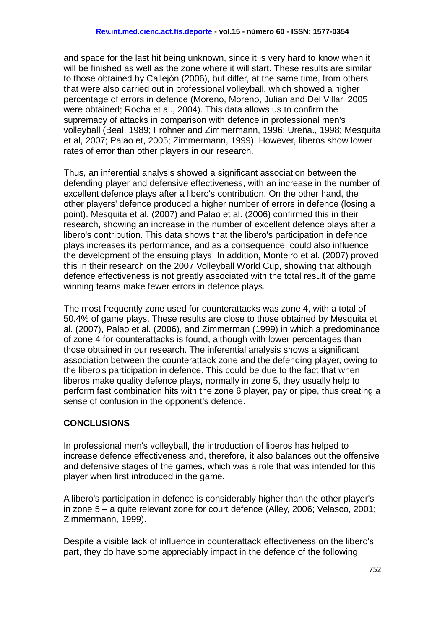and space for the last hit being unknown, since it is very hard to know when it will be finished as well as the zone where it will start. These results are similar to those obtained by Callejón (2006), but differ, at the same time, from others that were also carried out in professional volleyball, which showed a higher percentage of errors in defence (Moreno, Moreno, Julian and Del Villar, 2005 were obtained; Rocha et al., 2004). This data allows us to confirm the supremacy of attacks in comparison with defence in professional men's volleyball (Beal, 1989; Fröhner and Zimmermann, 1996; Ureña., 1998; Mesquita et al, 2007; Palao et, 2005; Zimmermann, 1999). However, liberos show lower rates of error than other players in our research.

Thus, an inferential analysis showed a significant association between the defending player and defensive effectiveness, with an increase in the number of excellent defence plays after a libero's contribution. On the other hand, the other players' defence produced a higher number of errors in defence (losing a point). Mesquita et al. (2007) and Palao et al. (2006) confirmed this in their research, showing an increase in the number of excellent defence plays after a libero's contribution. This data shows that the libero's participation in defence plays increases its performance, and as a consequence, could also influence the development of the ensuing plays. In addition, Monteiro et al. (2007) proved this in their research on the 2007 Volleyball World Cup, showing that although defence effectiveness is not greatly associated with the total result of the game, winning teams make fewer errors in defence plays.

The most frequently zone used for counterattacks was zone 4, with a total of 50.4% of game plays. These results are close to those obtained by Mesquita et al. (2007), Palao et al. (2006), and Zimmerman (1999) in which a predominance of zone 4 for counterattacks is found, although with lower percentages than those obtained in our research. The inferential analysis shows a significant association between the counterattack zone and the defending player, owing to the libero's participation in defence. This could be due to the fact that when liberos make quality defence plays, normally in zone 5, they usually help to perform fast combination hits with the zone 6 player, pay or pipe, thus creating a sense of confusion in the opponent's defence.

# **CONCLUSIONS**

In professional men's volleyball, the introduction of liberos has helped to increase defence effectiveness and, therefore, it also balances out the offensive and defensive stages of the games, which was a role that was intended for this player when first introduced in the game.

A libero's participation in defence is considerably higher than the other player's in zone 5 – a quite relevant zone for court defence (Alley, 2006; Velasco, 2001; Zimmermann, 1999).

Despite a visible lack of influence in counterattack effectiveness on the libero's part, they do have some appreciably impact in the defence of the following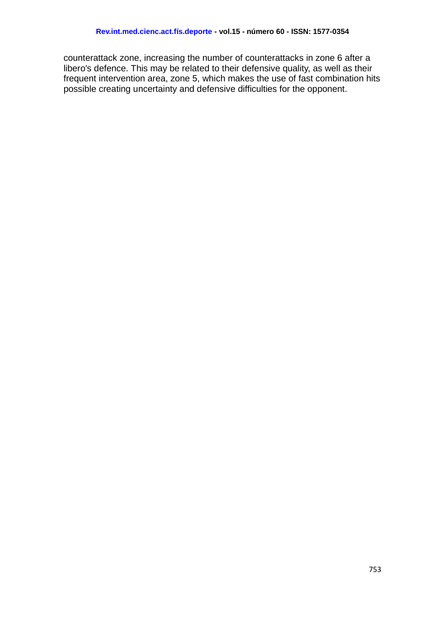counterattack zone, increasing the number of counterattacks in zone 6 after a libero's defence. This may be related to their defensive quality, as well as their frequent intervention area, zone 5, which makes the use of fast combination hits possible creating uncertainty and defensive difficulties for the opponent.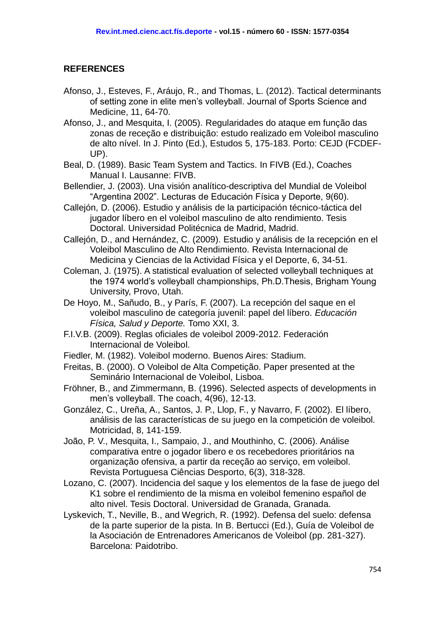#### **REFERENCES**

- Afonso, J., Esteves, F., Aráujo, R., and Thomas, L. (2012). Tactical determinants of setting zone in elite men's volleyball. Journal of Sports Science and Medicine, 11, 64-70.
- Afonso, J., and Mesquita, I. (2005). Regularidades do ataque em função das zonas de receção e distribuição: estudo realizado em Voleibol masculino de alto nível. In J. Pinto (Ed.), Estudos 5, 175-183. Porto: CEJD (FCDEF-UP).
- Beal, D. (1989). Basic Team System and Tactics. In FIVB (Ed.), Coaches Manual I. Lausanne: FIVB.
- Bellendier, J. (2003). Una visión analítico-descriptiva del Mundial de Voleibol "Argentina 2002". Lecturas de Educación Física y Deporte, 9(60).
- Callejón, D. (2006). Estudio y análisis de la participación técnico-táctica del jugador líbero en el voleibol masculino de alto rendimiento. Tesis Doctoral. Universidad Politécnica de Madrid, Madrid.
- Callejón, D., and Hernández, C. (2009). Estudio y análisis de la recepción en el Voleibol Masculino de Alto Rendimiento. Revista Internacional de Medicina y Ciencias de la Actividad Física y el Deporte, 6, 34-51.
- Coleman, J. (1975). A statistical evaluation of selected volleyball techniques at the 1974 world's volleyball championships, Ph.D.Thesis, Brigham Young University, Provo, Utah.
- De Hoyo, M., Sañudo, B., y París, F. (2007). La recepción del saque en el voleibol masculino de categoría juvenil: papel del líbero. *Educación Física, Salud y Deporte.* Tomo XXI, 3.
- F.I.V.B. (2009). Reglas oficiales de voleibol 2009-2012. Federación Internacional de Voleibol.
- Fiedler, M. (1982). Voleibol moderno. Buenos Aires: Stadium.
- Freitas, B. (2000). O Voleibol de Alta Competição. Paper presented at the Seminário Internacional de Voleibol, Lisboa.
- Fröhner, B., and Zimmermann, B. (1996). Selected aspects of developments in men's volleyball. The coach, 4(96), 12-13.
- González, C., Ureña, A., Santos, J. P., Llop, F., y Navarro, F. (2002). El líbero, análisis de las características de su juego en la competición de voleibol. Motricidad, 8, 141-159.
- João, P. V., Mesquita, I., Sampaio, J., and Mouthinho, C. (2006). Análise comparativa entre o jogador libero e os recebedores prioritários na organização ofensiva, a partir da receção ao serviço, em voleibol. Revista Portuguesa Ciências Desporto, 6(3), 318-328.
- Lozano, C. (2007). Incidencia del saque y los elementos de la fase de juego del K1 sobre el rendimiento de la misma en voleibol femenino español de alto nivel. Tesis Doctoral. Universidad de Granada, Granada.
- Lyskevich, T., Neville, B., and Wegrich, R. (1992). Defensa del suelo: defensa de la parte superior de la pista. In B. Bertucci (Ed.), Guía de Voleibol de la Asociación de Entrenadores Americanos de Voleibol (pp. 281-327). Barcelona: Paidotribo.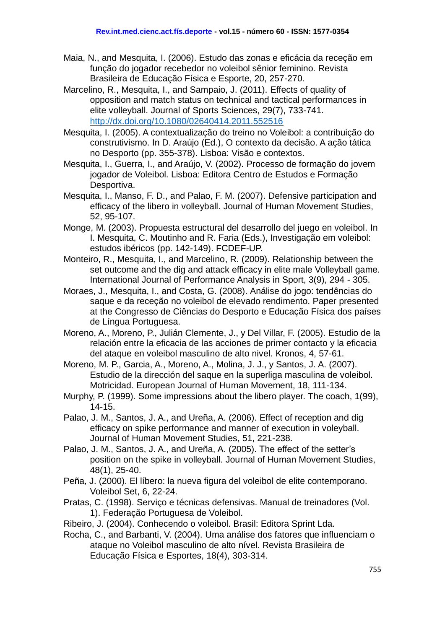- Maia, N., and Mesquita, I. (2006). Estudo das zonas e eficácia da receção em função do jogador recebedor no voleibol sênior feminino. Revista Brasileira de Educação Física e Esporte, 20, 257-270.
- Marcelino, R., Mesquita, I., and Sampaio, J. (2011). Effects of quality of opposition and match status on technical and tactical performances in elite volleyball. Journal of Sports Sciences, 29(7), 733-741. <http://dx.doi.org/10.1080/02640414.2011.552516>
- Mesquita, I. (2005). A contextualização do treino no Voleibol: a contribuição do construtivismo. In D. Araújo (Ed.), O contexto da decisão. A ação tática no Desporto (pp. 355-378). Lisboa: Visão e contextos.
- Mesquita, I., Guerra, I., and Araújo, V. (2002). Processo de formação do jovem jogador de Voleibol. Lisboa: Editora Centro de Estudos e Formação Desportiva.
- Mesquita, I., Manso, F. D., and Palao, F. M. (2007). Defensive participation and efficacy of the libero in volleyball. Journal of Human Movement Studies, 52, 95-107.
- Monge, M. (2003). Propuesta estructural del desarrollo del juego en voleibol. In I. Mesquita, C. Moutinho and R. Faria (Eds.), Investigação em voleibol: estudos ibéricos (pp. 142-149). FCDEF-UP.
- Monteiro, R., Mesquita, I., and Marcelino, R. (2009). Relationship between the set outcome and the dig and attack efficacy in elite male Volleyball game. International Journal of Performance Analysis in Sport, 3(9), 294 - 305.
- Moraes, J., Mesquita, I., and Costa, G. (2008). Análise do jogo: tendências do saque e da receção no voleibol de elevado rendimento. Paper presented at the Congresso de Ciências do Desporto e Educação Física dos países de Língua Portuguesa.
- Moreno, A., Moreno, P., Julián Clemente, J., y Del Villar, F. (2005). Estudio de la relación entre la eficacia de las acciones de primer contacto y la eficacia del ataque en voleibol masculino de alto nivel. Kronos, 4, 57-61.
- Moreno, M. P., Garcia, A., Moreno, A., Molina, J. J., y Santos, J. A. (2007). Estudio de la dirección del saque en la superliga masculina de voleibol. Motricidad. European Journal of Human Movement, 18, 111-134.
- Murphy, P. (1999). Some impressions about the libero player. The coach, 1(99), 14-15.
- Palao, J. M., Santos, J. A., and Ureña, A. (2006). Effect of reception and dig efficacy on spike performance and manner of execution in voleyball. Journal of Human Movement Studies, 51, 221-238.
- Palao, J. M., Santos, J. A., and Ureña, A. (2005). The effect of the setter's position on the spike in volleyball. Journal of Human Movement Studies, 48(1), 25-40.
- Peña, J. (2000). El líbero: la nueva figura del voleibol de elite contemporano. Voleibol Set, 6, 22-24.
- Pratas, C. (1998). Serviço e técnicas defensivas. Manual de treinadores (Vol. 1). Federação Portuguesa de Voleibol.
- Ribeiro, J. (2004). Conhecendo o voleibol. Brasil: Editora Sprint Lda.
- Rocha, C., and Barbanti, V. (2004). Uma análise dos fatores que influenciam o ataque no Voleibol masculino de alto nível. Revista Brasileira de Educação Física e Esportes, 18(4), 303-314.